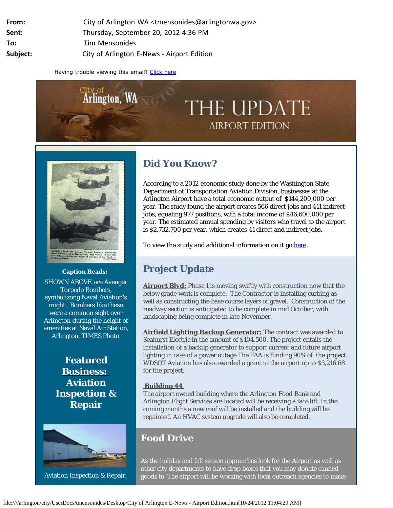| From:    | City of Arlington WA <tmensonides@arlingtonwa.gov></tmensonides@arlingtonwa.gov> |
|----------|----------------------------------------------------------------------------------|
| Sent:    | Thursday, September 20, 2012 4:36 PM                                             |
| To:      | Tim Mensonides                                                                   |
| Subject: | City of Arlington E-News - Airport Edition                                       |

Having trouble viewing this email? [Click here](http://campaign.r20.constantcontact.com/render?llr=tfp48wjab&v=001rBBS2uM5H39NNh6koZKB-gHB-laRXWA8KoHgnqocSgBou_C-bn9ZkdYuy3p9nndwN85_QttJI5M3rTpP18WIn4YfZv7cccNEwWLn1AaXWS3J99tIC6VhaQ%3D%3D)





**Caption Reads:**

SHOWN ABOVE are Avenger Torpedo Bombers, symbolizong Naval Aviation's might. Bombers like these were a common sight over Arlington during the height of amenities at Naval Air Station, Arlington. TIMES Photo

> **Featured Business: Aviation Inspection & Repair**



Aviation Inspection & Repair,

# **Did You Know?**

According to a 2012 economic study done by the Washington State Department of Transportation Aviation Division, businesses at the Arlington Airport have a total economic output of \$144,200,000 per year. The study found the airport creates 566 direct jobs and 411 indirect jobs, equaling 977 positions, with a total income of \$46,600,000 per year. The estimated annual spending by visitors who travel to the airport is \$2,732,700 per year, which creates 41 direct and indirect jobs.

To view the study and additional information on it go [here.](http://r20.rs6.net/tn.jsp?e=0014iOu1zMEypmJ7NpKIljaMew0KPGIvjjOJ39uKsvIYBopo2iAmsu6vGlXgaSawqDnCbRD_oE2QFyEso_UcJHVe_mUy-hHmmTkp9k6n6mtUQ7leJS8iBUWovrbLw4ovtBcMtBaQJ8YqaCKcTSui1ImzlL79N0UjS0d-lZ3_ZIpZNBpdg0-H11yCnICM7Mme7a2Pq389wug0lc7Dpe_d_ll4Z_AcBWIOb-HzkV59WJ5t1-o8p7BkuTj0fXyG0yfSambpmqe3gjGc9Wc_DrZTgGZTBZ_j9BdNCIFKnjipZ0stbZq7YukeDUsWWejEFnVjIAAeRBCSsSwHgxYRmWNO3AnLNJRVMIqMSpi)

# **Project Update**

**Airport Blvd:** Phase 1 is moving swiftly with construction now that the below grade work is complete. The Contractor is installing curbing as well as constructing the base course layers of gravel. Construction of the roadway section is anticipated to be complete in mid October, with landscaping being complete in late November.

*Airfield Lighting Backup Generator:* The contract was awarded to Seahurst Electric in the amount of \$104,500. The project entails the installation of a backup generator to support current and future airport lighting in case of a power outage.The FAA is funding 90% of the project. WDSOT Aviation has also awarded a grant to the airport up to \$3,216.68 for the project.

#### *Building 44*

The airport owned building where the Arlington Food Bank and Arlington Flight Services are located will be receiving a face lift. In the coming months a new roof will be installed and the building will be repainted. An HVAC system upgrade will also be completed.

### **Food Drive**

As the holiday and fall season approaches look for the Airport as well as other city departments to have drop boxes that you may donate canned goods to. The airport will be working with local outreach agencies to make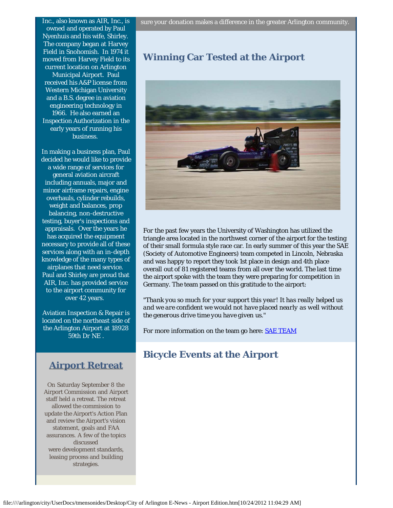Inc., also known as AIR, Inc., is owned and operated by Paul Nyenhuis and his wife, Shirley. The company began at Harvey Field in Snohomish. In 1974 it moved from Harvey Field to its current location on Arlington Municipal Airport. Paul received his A&P license from Western Michigan University and a B.S. degree in aviation engineering technology in 1966. He also earned an Inspection Authorization in the early years of running his business.

In making a business plan, Paul decided he would like to provide a wide range of services for general aviation aircraft including annuals, major and minor airframe repairs, engine overhauls, cylinder rebuilds, weight and balances, prop balancing, non-destructive testing, buyer's inspections and appraisals. Over the years he has acquired the equipment necessary to provide all of these services along with an in-depth knowledge of the many types of airplanes that need service. Paul and Shirley are proud that AIR, Inc. has provided service to the airport community for over 42 years.

Aviation Inspection & Repair is located on the northeast side of the Arlington Airport at 18928 59th Dr NE .

# **Airport Retreat**

On Saturday September 8 the Airport Commission and Airport staff held a retreat. The retreat allowed the commission to update the Airport's Action Plan and review the Airport's vision statement, goals and FAA assurances. A few of the topics discussed were development standards, leasing process and building strategies.

# **Winning Car Tested at the Airport**



For the past few years the University of Washington has utilized the triangle area located in the northwest corner of the airport for the testing of their small formula style race car. In early summer of this year the SAE (Society of Automotive Engineers) team competed in Lincoln, Nebraska and was happy to report they took 1st place in design and 4th place overall out of 81 registered teams from all over the world. The last time the airport spoke with the team they were preparing for competition in Germany. The team passed on this gratitude to the airport:

*"Thank you so much for your support this year! It has really helped us and we are confident we would not have placed nearly as well without the generous drive time you have given us."*

For more information on the team go here: **[SAE TEAM](http://r20.rs6.net/tn.jsp?e=0014iOu1zMEypkceQ6fAMMzkFxxMEYoUcJoHTM8vqFClgpwGHE10jBZZW9I1Gi8VafsFo_GcpCd63JurE0K4_2LG3fIL5vSxfy6fmIhAVll7hVjyvhDTGJt0YGPE4ZuDjAFGCJZCbKt3veiINhYnLjlvmgDgwN8NPcNQyP6MCu9WG_Y76uaRZbryeFtI3dQgA3X4IWh3sEkk_QrovqB4-Mc9IYVjm7tNlhFL7IkTb35ulSM5KieTYQvqy1qlnSrldpd6izqrGLlbHM=)** 

# **Bicycle Events at the Airport**